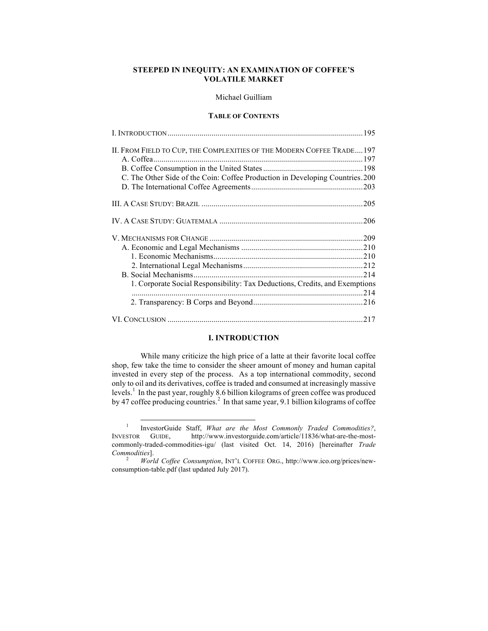# **STEEPED IN INEQUITY: AN EXAMINATION OF COFFEE'S VOLATILE MARKET**

# Michael Guilliam

# **TABLE OF CONTENTS** I. INTRODUCTION..................................................................................................195

| II. FROM FIELD TO CUP, THE COMPLEXITIES OF THE MODERN COFFEE TRADE197<br>C. The Other Side of the Coin: Coffee Production in Developing Countries.200 |
|-------------------------------------------------------------------------------------------------------------------------------------------------------|
|                                                                                                                                                       |
|                                                                                                                                                       |
|                                                                                                                                                       |
|                                                                                                                                                       |
|                                                                                                                                                       |
|                                                                                                                                                       |
|                                                                                                                                                       |
| 1. Corporate Social Responsibility: Tax Deductions, Credits, and Exemptions                                                                           |
|                                                                                                                                                       |
|                                                                                                                                                       |
|                                                                                                                                                       |

# **I. INTRODUCTION**

While many criticize the high price of a latte at their favorite local coffee shop, few take the time to consider the sheer amount of money and human capital invested in every step of the process. As a top international commodity, second only to oil and its derivatives, coffee is traded and consumed at increasingly massive levels. 1 In the past year, roughly 8.6 billion kilograms of green coffee was produced by 47 coffee producing countries.<sup>2</sup> In that same year, 9.1 billion kilograms of coffee

 <sup>1</sup> InvestorGuide Staff, *What are the Most Commonly Traded Commodities?*, INVESTOR GUIDE, http://www.investorguide.com/article/11836/what-are-the-mostcommonly-traded-commodities-igu/ (last visited Oct. 14, 2016) [hereinafter *Trade Commodities*]. <sup>2</sup> *World Coffee Consumption*, INT'L COFFEE ORG., http://www.ico.org/prices/new-

consumption-table.pdf (last updated July 2017).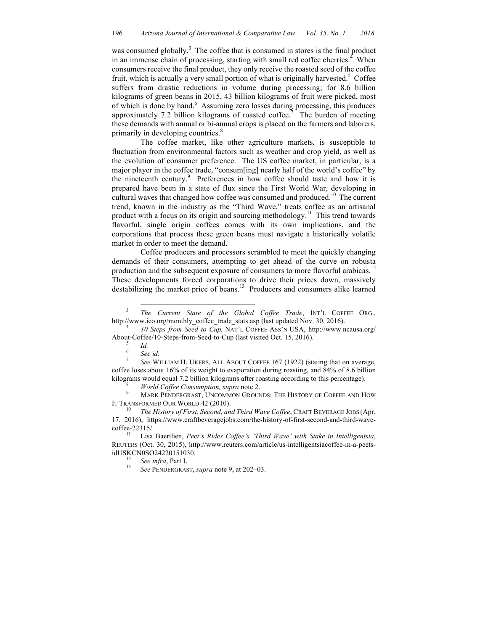was consumed globally.<sup>3</sup> The coffee that is consumed in stores is the final product in an immense chain of processing, starting with small red coffee cherries.<sup>4</sup> When consumers receive the final product, they only receive the roasted seed of the coffee fruit, which is actually a very small portion of what is originally harvested.<sup>5</sup> Coffee suffers from drastic reductions in volume during processing; for 8.6 billion kilograms of green beans in 2015, 43 billion kilograms of fruit were picked, most of which is done by hand. 6 Assuming zero losses during processing, this produces approximately 7.2 billion kilograms of roasted coffee.<sup>7</sup> The burden of meeting these demands with annual or bi-annual crops is placed on the farmers and laborers, primarily in developing countries.<sup>8</sup>

The coffee market, like other agriculture markets, is susceptible to fluctuation from environmental factors such as weather and crop yield, as well as the evolution of consumer preference. The US coffee market, in particular, is a major player in the coffee trade, "consum[ing] nearly half of the world's coffee" by the nineteenth century. 9 Preferences in how coffee should taste and how it is prepared have been in a state of flux since the First World War, developing in cultural waves that changed how coffee was consumed and produced.<sup>10</sup> The current trend, known in the industry as the "Third Wave," treats coffee as an artisanal product with a focus on its origin and sourcing methodology.<sup>11</sup> This trend towards flavorful, single origin coffees comes with its own implications, and the corporations that process these green beans must navigate a historically volatile market in order to meet the demand.

Coffee producers and processors scrambled to meet the quickly changing demands of their consumers, attempting to get ahead of the curve on robusta production and the subsequent exposure of consumers to more flavorful arabicas.<sup>12</sup> These developments forced corporations to drive their prices down, massively destabilizing the market price of beans.<sup>13</sup> Producers and consumers alike learned

IT TRANSFORMED OUR WORLD 42 (2010).<br><sup>10</sup> *The History of First, Second, and Third Wave Coffee*, CRAFT BEVERAGE JOBS (Apr.

<sup>&</sup>lt;sup>3</sup> *The Current State of the Global Coffee Trade*, INT'L COFFEE ORG., http://www.ico.org/monthly\_coffee\_trade\_stats.asp (last updated Nov. 30, 2016). <sup>4</sup> *10 Steps from Seed to Cup,* NAT'L COFFEE ASS'N USA, http://www.ncausa.org/

About-Coffee/10-Steps-from-Seed-to-Cup (last visited Oct. 15, 2016).<br><sup>5</sup> *Id.* 6 *See id. See WILLIAM H. UKERS, ALL ABOUT COFFEE 167 (1922) (stating that on average,* 

coffee loses about 16% of its weight to evaporation during roasting, and 84% of 8.6 billion kilograms would equal 7.2 billion kilograms after roasting according to this percentage).<br><sup>8</sup> *World Coffee Consumption, supra* note 2.<br><sup>9</sup> MARK PENDERGRAST, UNCOMMON GROUNDS: THE HISTORY OF COFFEE AND HOW

<sup>17,</sup> 2016), https://www.craftbeveragejobs.com/the-history-of-first-second-and-third-wavecoffee-22315/. 11 Lisa Baertlien, *Peet's Rides Coffee's 'Third Wave' with Stake in Intelligentsia*,

REUTERS (Oct. 30, 2015), http://www.reuters.com/article/us-intelligentsiacoffee-m-a-peetsidUSKCN0SO24220151030. <sup>12</sup> *See infra*, Part I. 13 *See* PENDERGRAST, *supra* note 9, at 202–03.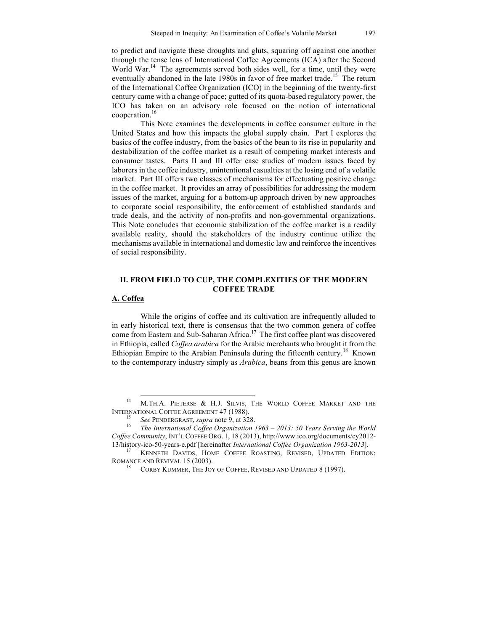to predict and navigate these droughts and gluts, squaring off against one another through the tense lens of International Coffee Agreements (ICA) after the Second World War.<sup>14</sup> The agreements served both sides well, for a time, until they were eventually abandoned in the late 1980s in favor of free market trade.<sup>15</sup> The return of the International Coffee Organization (ICO) in the beginning of the twenty-first century came with a change of pace; gutted of its quota-based regulatory power, the ICO has taken on an advisory role focused on the notion of international cooperation.<sup>16</sup>

This Note examines the developments in coffee consumer culture in the United States and how this impacts the global supply chain. Part I explores the basics of the coffee industry, from the basics of the bean to its rise in popularity and destabilization of the coffee market as a result of competing market interests and consumer tastes. Parts II and III offer case studies of modern issues faced by laborers in the coffee industry, unintentional casualties at the losing end of a volatile market. Part III offers two classes of mechanisms for effectuating positive change in the coffee market. It provides an array of possibilities for addressing the modern issues of the market, arguing for a bottom-up approach driven by new approaches to corporate social responsibility, the enforcement of established standards and trade deals, and the activity of non-profits and non-governmental organizations. This Note concludes that economic stabilization of the coffee market is a readily available reality, should the stakeholders of the industry continue utilize the mechanisms available in international and domestic law and reinforce the incentives of social responsibility.

# **II. FROM FIELD TO CUP, THE COMPLEXITIES OF THE MODERN COFFEE TRADE**

# **A. Coffea**

While the origins of coffee and its cultivation are infrequently alluded to in early historical text, there is consensus that the two common genera of coffee come from Eastern and Sub-Saharan Africa. 17 The first coffee plant was discovered in Ethiopia, called *Coffea arabica* for the Arabic merchants who brought it from the Ethiopian Empire to the Arabian Peninsula during the fifteenth century.<sup>18</sup> Known to the contemporary industry simply as *Arabica*, beans from this genus are known

<sup>&</sup>lt;sup>14</sup> M.TH.A. PIETERSE & H.J. SILVIS, THE WORLD COFFEE MARKET AND THE INTERNATIONAL COFFEE AGREEMENT 47 (1988).<br><sup>15</sup> *See* PENDERGRAST, *supra* note 9, at 328.<br><sup>16</sup> *The International Coffee Organization 1963 – 2013: 50 Years Serving the World* 

*Coffee Community*, INT'L COFFEE ORG. 1, 18 (2013), http://www.ico.org/documents/cy2012-

<sup>13/</sup>history-ico-50-years-e.pdf [hereinafter *International Coffee Organization 1963-2013*]. 17 KENNETH DAVIDS, HOME COFFEE ROASTING, REVISED, UPDATED EDITION: ROMANCE AND REVIVAL 15 (2003). <sup>18</sup> CORBY KUMMER, THE JOY OF COFFEE, REVISED AND UPDATED 8 (1997).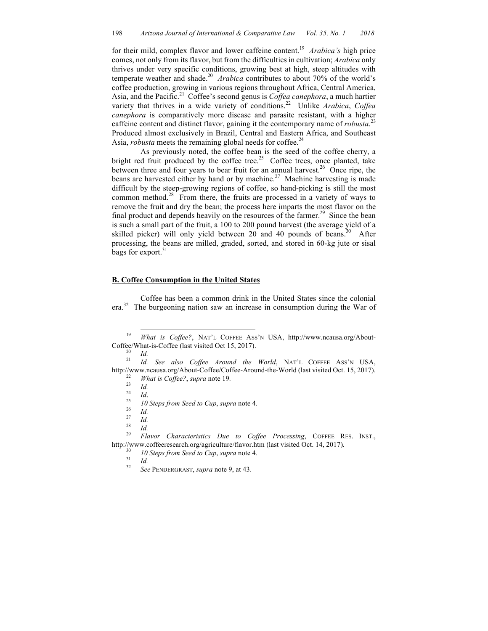for their mild, complex flavor and lower caffeine content. 19 *Arabica's* high price comes, not only from its flavor, but from the difficulties in cultivation; *Arabica* only thrives under very specific conditions, growing best at high, steep altitudes with temperate weather and shade. 20 *Arabica* contributes to about 70% of the world's coffee production, growing in various regions throughout Africa, Central America, Asia, and the Pacific. 21 Coffee's second genus is *Coffea canephora*, a much hartier variety that thrives in a wide variety of conditions. 22 Unlike *Arabica*, *Coffea canephora* is comparatively more disease and parasite resistant, with a higher caffeine content and distinct flavor, gaining it the contemporary name of *robusta*. 23 Produced almost exclusively in Brazil, Central and Eastern Africa, and Southeast Asia, *robusta* meets the remaining global needs for coffee.<sup>24</sup>

As previously noted, the coffee bean is the seed of the coffee cherry, a bright red fruit produced by the coffee tree.<sup>25</sup> Coffee trees, once planted, take between three and four years to bear fruit for an annual harvest.<sup>26</sup> Once ripe, the beans are harvested either by hand or by machine.<sup>27</sup> Machine harvesting is made difficult by the steep-growing regions of coffee, so hand-picking is still the most common method. $28$  From there, the fruits are processed in a variety of ways to remove the fruit and dry the bean; the process here imparts the most flavor on the final product and depends heavily on the resources of the farmer.<sup>29</sup> Since the bean is such a small part of the fruit, a 100 to 200 pound harvest (the average yield of a skilled picker) will only yield between 20 and 40 pounds of beans.<sup>30</sup> After processing, the beans are milled, graded, sorted, and stored in 60-kg jute or sisal bags for export.<sup>31</sup>

### **B. Coffee Consumption in the United States**

Coffee has been a common drink in the United States since the colonial era.<sup>32</sup> The burgeoning nation saw an increase in consumption during the War of

http://www.ncausa.org/About-Coffee/Coffee-Around-the-World (last visited Oct. 15, 2017).<br>
<sup>22</sup> *What is Coffee?*, *supra* note 19.<br>
<sup>24</sup> *Id.*<br>
<sup>25</sup> *I0 Steps from Seed to Cup*, *supra* note 4.<br>
<sup>26</sup> *Id.*<br>
<sup>27</sup> *Id.*<br>
<sup>28</sup>

- 
- 
- 
- 
- 
- 
- 

http://www.coffeeresearch.org/agriculture/flavor.htm (last visited Oct. 14, 2017).<br><sup>30</sup> *10 Steps from Seed to Cup*, *supra* note 4.<br><sup>31</sup> *Id. See* PENDERGRAST, *supra* note 9, at 43.

 <sup>19</sup> *What is Coffee?*, NAT'L COFFEE ASS'N USA, http://www.ncausa.org/About-Coffee/What-is-Coffee (last visited Oct 15, 2017). <sup>20</sup> *Id.* <sup>21</sup> *Id. See also Coffee Around the World*, NAT'L COFFEE ASS'N USA,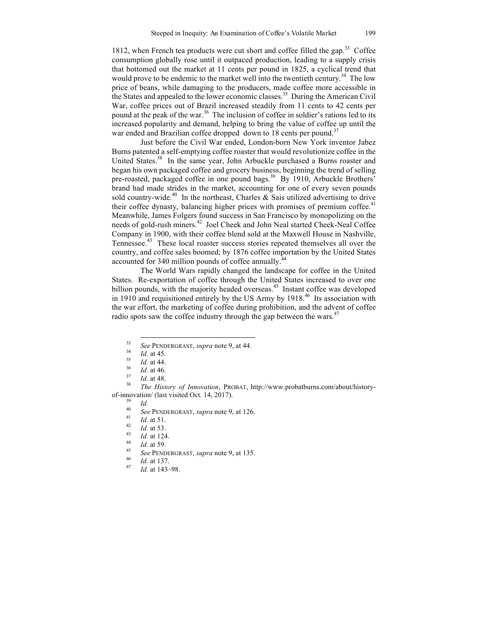1812, when French tea products were cut short and coffee filled the gap.<sup>33</sup> Coffee consumption globally rose until it outpaced production, leading to a supply crisis that bottomed out the market at 11 cents per pound in 1825, a cyclical trend that would prove to be endemic to the market well into the twentieth century.<sup>34</sup> The low price of beans, while damaging to the producers, made coffee more accessible in the States and appealed to the lower economic classes. 35 During the American Civil War, coffee prices out of Brazil increased steadily from 11 cents to 42 cents per pound at the peak of the war.<sup>36</sup> The inclusion of coffee in soldier's rations led to its increased popularity and demand, helping to bring the value of coffee up until the war ended and Brazilian coffee dropped down to 18 cents per pound.<sup>37</sup>

Just before the Civil War ended, London-born New York inventor Jabez Burns patented a self-emptying coffee roaster that would revolutionize coffee in the United States.<sup>38</sup> In the same year, John Arbuckle purchased a Burns roaster and began his own packaged coffee and grocery business, beginning the trend of selling pre-roasted, packaged coffee in one pound bags.<sup>39</sup> By 1910, Arbuckle Brothers' brand had made strides in the market, accounting for one of every seven pounds sold country-wide.<sup>40</sup> In the northeast, Charles & Sais utilized advertising to drive their coffee dynasty, balancing higher prices with promises of premium coffee.<sup>41</sup> Meanwhile, James Folgers found success in San Francisco by monopolizing on the needs of gold-rush miners. <sup>42</sup> Joel Cheek and John Neal started Cheek-Neal Coffee Company in 1900, with their coffee blend sold at the Maxwell House in Nashville, Tennessee. 43 These local roaster success stories repeated themselves all over the country, and coffee sales boomed; by 1876 coffee importation by the United States accounted for 340 million pounds of coffee annually.<sup>44</sup>

The World Wars rapidly changed the landscape for coffee in the United States. Re-exportation of coffee through the United States increased to over one billion pounds, with the majority headed overseas.<sup>45</sup> Instant coffee was developed in 1910 and requisitioned entirely by the US Army by 1918. <sup>46</sup> Its association with the war effort, the marketing of coffee during prohibition, and the advent of coffee radio spots saw the coffee industry through the gap between the wars.<sup>47</sup>

- 
- 
- 

<sup>&</sup>lt;sup>33</sup> See PENDERGRAST, supra note 9, at 44.<br>
<sup>34</sup> Id. at 45.<br>
<sup>35</sup> Id. at 44.<br>
<sup>36</sup> Id. at 46.<br>
<sup>37</sup> Id. at 48.<br>
<sup>37</sup> Id. at 48.<br>
<sup>37</sup> Id. at 48.<br>
<sup>37</sup> Id. at 48. of-innovation/ (last visited Oct. 14, 2017).<br>
<sup>39</sup> *Id.*<br>
<sup>40</sup> *See* PENDERGRAST, *supra* note 9, at 126.<br>
<sup>41</sup> *Id.* at 51.<br>
<sup>42</sup> *Id.* at 53.<br>
<sup>43</sup> *Id.* at 124.<br>
<sup>44</sup> *Id.* at 59.<br> *See* PENDERGRAST, *supra* note 9, at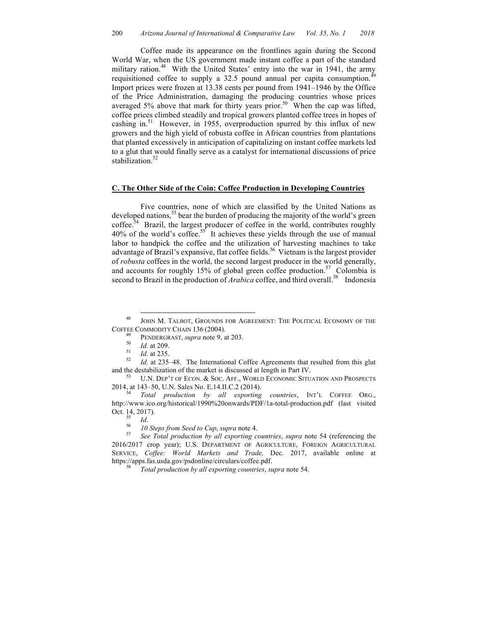Coffee made its appearance on the frontlines again during the Second World War, when the US government made instant coffee a part of the standard military ration.<sup>48</sup> With the United States' entry into the war in 1941, the army requisitioned coffee to supply a 32.5 pound annual per capita consumption.<sup>49</sup> Import prices were frozen at 13.38 cents per pound from 1941–1946 by the Office of the Price Administration, damaging the producing countries whose prices averaged 5% above that mark for thirty years prior.<sup>50</sup> When the cap was lifted, coffee prices climbed steadily and tropical growers planted coffee trees in hopes of cashing in. 51 However, in 1955, overproduction spurred by this influx of new growers and the high yield of robusta coffee in African countries from plantations that planted excessively in anticipation of capitalizing on instant coffee markets led to a glut that would finally serve as a catalyst for international discussions of price stabilization. 52

# **C. The Other Side of the Coin: Coffee Production in Developing Countries**

Five countries, none of which are classified by the United Nations as developed nations, <sup>53</sup> bear the burden of producing the majority of the world's green coffee. 54 Brazil, the largest producer of coffee in the world, contributes roughly  $40\%$  of the world's coffee.<sup>55</sup> It achieves these yields through the use of manual labor to handpick the coffee and the utilization of harvesting machines to take advantage of Brazil's expansive, flat coffee fields. <sup>56</sup> Vietnam is the largest provider of *robusta* coffees in the world, the second largest producer in the world generally, and accounts for roughly 15% of global green coffee production.<sup>57</sup> Colombia is second to Brazil in the production of *Arabica* coffee, and third overall.<sup>58</sup> Indonesia

<sup>48</sup> JOHN M. TALBOT, GROUNDS FOR AGREEMENT: THE POLITICAL ECONOMY OF THE COFFEE COMMODITY CHAIN 136 (2004).<br><sup>49</sup> PENDERGRAST, *supra* note 9, at 203.<br><sup>50</sup> *Id.* at 235.<br><sup>52</sup> *Id.* at 235–48. The International Coffee Agreements that resulted from this glut

and the destabilization of the market is discussed at length in Part IV.<br>
<sup>53</sup> U.N. DEP'T OF ECON. & SOC. AFF., WORLD ECONOMIC SITUATION AND PROSPECTS 2014, at 143–50, U.N. Sales No. E.14.II.C.2 (2014).

<sup>2014,</sup> at 143–50, U.N. Sales No. E.14.II.C.2 (2014). <sup>54</sup> *Total production by all exporting countries*, INT'L COFFEE ORG., http://www.ico.org/historical/1990%20onwards/PDF/1a-total-production.pdf (last visited Oct. 14, 2017).<br><sup>55</sup> *Id.* 56 *IO Steps from Seed to Cup*, *supra* note 4.<br><sup>57</sup> *See Total production by all exporting countries*, *supra* note 54 (referencing the

<sup>2016/2017</sup> crop year); U.S. DEPARTMENT OF AGRICULTURE, FOREIGN AGRICULTURAL SERVICE, *Coffee: World Markets and Trade,* Dec. 2017, available online at https://apps.fas.usda.gov/psdonline/circulars/coffee.pdf. 58 *Total production by all exporting countries*, *supra* note 54.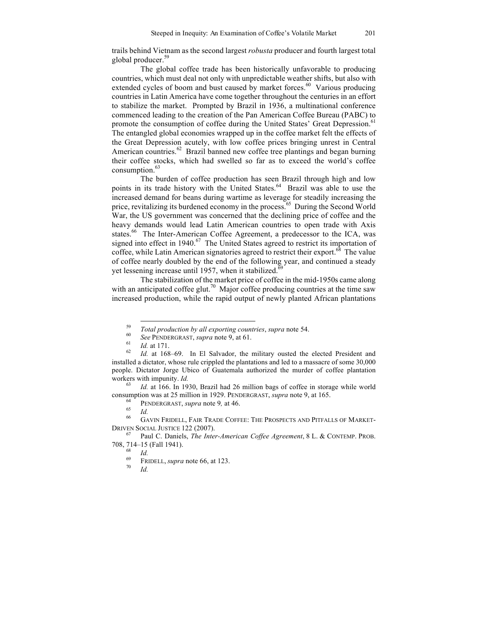trails behind Vietnam as the second largest *robusta* producer and fourth largest total global producer. 59

The global coffee trade has been historically unfavorable to producing countries, which must deal not only with unpredictable weather shifts, but also with extended cycles of boom and bust caused by market forces.<sup>60</sup> Various producing countries in Latin America have come together throughout the centuries in an effort to stabilize the market. Prompted by Brazil in 1936, a multinational conference commenced leading to the creation of the Pan American Coffee Bureau (PABC) to promote the consumption of coffee during the United States' Great Depression.<sup>61</sup> The entangled global economies wrapped up in the coffee market felt the effects of the Great Depression acutely, with low coffee prices bringing unrest in Central American countries. 62 Brazil banned new coffee tree plantings and began burning their coffee stocks, which had swelled so far as to exceed the world's coffee consumption. 63

The burden of coffee production has seen Brazil through high and low points in its trade history with the United States. <sup>64</sup> Brazil was able to use the increased demand for beans during wartime as leverage for steadily increasing the price, revitalizing its burdened economy in the process. <sup>65</sup> During the Second World War, the US government was concerned that the declining price of coffee and the heavy demands would lead Latin American countries to open trade with Axis states.<sup>66</sup> The Inter-American Coffee Agreement, a predecessor to the ICA, was signed into effect in 1940.<sup>67</sup> The United States agreed to restrict its importation of coffee, while Latin American signatories agreed to restrict their export.<sup>68</sup> The value of coffee nearly doubled by the end of the following year, and continued a steady yet lessening increase until 1957, when it stabilized.<sup> $\overline{6}9$ </sup>

The stabilization of the market price of coffee in the mid-1950s came along with an anticipated coffee glut.<sup>70</sup> Major coffee producing countries at the time saw increased production, while the rapid output of newly planted African plantations

consumption was at 25 million in 1929. PENDERGRAST, *supra* note 9, at 165.<br><sup>64</sup> PENDERGRAST, *supra* note 9, at 46.<br><sup>66</sup> GAVIN FRIDELL, FAIR TRADE COFFEE: THE PROSPECTS AND PITFALLS OF MARKET-

<sup>&</sup>lt;sup>59</sup> Total production by all exporting countries, supra note 54.<br>
<sup>60</sup> See PENDERGRAST, supra note 9, at 61.<br>
<sup>61</sup> Id. at 171.<br>
<sup>62</sup> Id. at 168–69. In El Salvador, the military ousted the elected President and installed a dictator, whose rule crippled the plantations and led to a massacre of some 30,000 people. Dictator Jorge Ubico of Guatemala authorized the murder of coffee plantation workers with impunity. *Id.*<br><sup>63</sup> *Id.* at 166. In 1930, Brazil had 26 million bags of coffee in storage while world

DRIVEN SOCIAL JUSTICE 122 (2007). <sup>67</sup> Paul C. Daniels, *The Inter-American Coffee Agreement*, <sup>8</sup> L. & CONTEMP. PROB.

<sup>708, 714–15 (</sup>Fall 1941). <sup>68</sup> *Id.* <sup>69</sup> FRIDELL, *supra* note 66, at 123. 70 *Id.*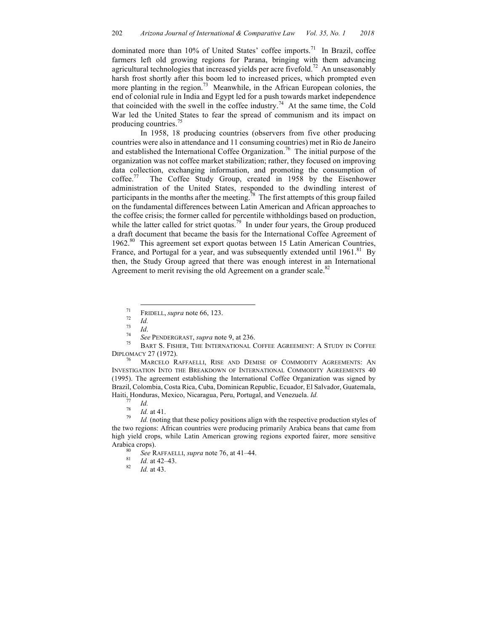dominated more than 10% of United States' coffee imports.<sup>71</sup> In Brazil, coffee farmers left old growing regions for Parana, bringing with them advancing agricultural technologies that increased yields per acre fivefold.<sup>72</sup> An unseasonably harsh frost shortly after this boom led to increased prices, which prompted even more planting in the region.<sup>73</sup> Meanwhile, in the African European colonies, the end of colonial rule in India and Egypt led for a push towards market independence that coincided with the swell in the coffee industry.<sup>74</sup> At the same time, the Cold War led the United States to fear the spread of communism and its impact on producing countries.<sup>75</sup>

In 1958, 18 producing countries (observers from five other producing countries were also in attendance and 11 consuming countries) met in Rio de Janeiro and established the International Coffee Organization. <sup>76</sup> The initial purpose of the organization was not coffee market stabilization; rather, they focused on improving data collection, exchanging information, and promoting the consumption of coffee.<sup>77</sup> The Coffee Study Group, created in 1958 by the Eisenhower administration of the United States, responded to the dwindling interest of participants in the months after the meeting.<sup>78</sup> The first attempts of this group failed on the fundamental differences between Latin American and African approaches to the coffee crisis; the former called for percentile withholdings based on production, while the latter called for strict quotas.<sup>79</sup> In under four years, the Group produced a draft document that became the basis for the International Coffee Agreement of 1962. <sup>80</sup> This agreement set export quotas between 15 Latin American Countries, France, and Portugal for a year, and was subsequently extended until 1961.<sup>81</sup> By then, the Study Group agreed that there was enough interest in an International Agreement to merit revising the old Agreement on a grander scale.<sup>82</sup>

INVESTIGATION INTO THE BREAKDOWN OF INTERNATIONAL COMMODITY AGREEMENTS 40 (1995). The agreement establishing the International Coffee Organization was signed by Brazil, Colombia, Costa Rica, Cuba, Dominican Republic, Ecuador, El Salvador, Guatemala, Haiti, Honduras, Mexico, Nicaragua, Peru, Portugal, and Venezuela. *Id.*<br><sup>77</sup> *Id. Id.* at 41.<br><sup>79</sup> *Id.* (noting that these policy positions align with the respective production styles of

the two regions: African countries were producing primarily Arabica beans that came from high yield crops, while Latin American growing regions exported fairer, more sensitive Arabica crops). 80 *See* RAFFAELLI, *supra* note 76, at 41–44. 81 *Id.* at 42–43. <sup>82</sup> *Id.* at 43.

- 
- 
- 

The FRIDELL, *supra* note 66, 123.<br> *Ta*<br> *Id. 24 See* PENDERGRAST, *supra* note 9, at 236.<br>
<sup>75</sup> BART S. FISHER, THE INTERNATIONAL COFFEE AGREEMENT: A STUDY IN COFFEE DIPLOMACY 27 (1972).<br><sup>76</sup> MARCELO RAFFAELLI, RISE AND DEMISE OF COMMODITY AGREEMENTS: AN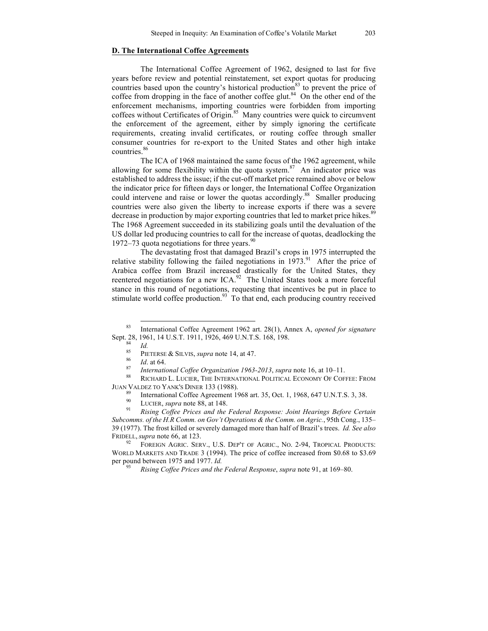### **D. The International Coffee Agreements**

The International Coffee Agreement of 1962, designed to last for five years before review and potential reinstatement, set export quotas for producing countries based upon the country's historical production $83$  to prevent the price of coffee from dropping in the face of another coffee glut.<sup>84</sup> On the other end of the enforcement mechanisms, importing countries were forbidden from importing coffees without Certificates of Origin. <sup>85</sup> Many countries were quick to circumvent the enforcement of the agreement, either by simply ignoring the certificate requirements, creating invalid certificates, or routing coffee through smaller consumer countries for re-export to the United States and other high intake countries. 86

The ICA of 1968 maintained the same focus of the 1962 agreement, while allowing for some flexibility within the quota system.<sup>87</sup> An indicator price was established to address the issue; if the cut-off market price remained above or below the indicator price for fifteen days or longer, the International Coffee Organization could intervene and raise or lower the quotas accordingly. <sup>88</sup> Smaller producing countries were also given the liberty to increase exports if there was a severe decrease in production by major exporting countries that led to market price hikes.<sup>89</sup> The 1968 Agreement succeeded in its stabilizing goals until the devaluation of the US dollar led producing countries to call for the increase of quotas, deadlocking the 1972–73 quota negotiations for three years.<sup>90</sup>

The devastating frost that damaged Brazil's crops in 1975 interrupted the relative stability following the failed negotiations in  $1973$ .<sup>91</sup> After the price of Arabica coffee from Brazil increased drastically for the United States, they reentered negotiations for a new ICA.<sup>92</sup> The United States took a more forceful stance in this round of negotiations, requesting that incentives be put in place to stimulate world coffee production.<sup>93</sup> To that end, each producing country received

*Rising Coffee Prices and the Federal Response, supra note 91, at 169–80.* 

 <sup>83</sup> International Coffee Agreement 1962 art. 28(1), Annex A, *opened for signature*  Sept. 28, 1961, 14 U.S.T. 1911, 1926, 469 U.N.T.S. 168, 198.<br>
<sup>84</sup> *Id.*<br>
<sup>85</sup> PIETERSE & SILVIS, *supra* note 14, at 47.<br>
<sup>86</sup> *Id.* at 64.<br> *87 International Coffee Organization 1963-2013, <i>supra* note 16, at 10–11.<br>

JUAN VALDEZ TO YANK'S DINER 133 (1988).<br><sup>89</sup> International Coffee Agreement 1968 art. 35, Oct. 1, 1968, 647 U.N.T.S. 3, 38.<br><sup>90</sup> LUCIER, *supra* note 88, at 148.<br>*Rising Coffee Prices and the Federal Response: Joint Hearin* 

*Subcomms. of the H.R Comm. on Gov't Operations & the Comm. on Agric.*, 95th Cong., 135– 39 (1977). The frost killed or severely damaged more than half of Brazil's trees. *Id. See also* FRIDELL, *supra* note 66, at 123.<br><sup>92</sup> FOREIGN AGRIC. SERV., U.S. DEP'T OF AGRIC., NO. 2-94, TROPICAL PRODUCTS:

WORLD MARKETS AND TRADE 3 (1994). The price of coffee increased from \$0.68 to \$3.69 per pound between 1975 and 1977. *Id.*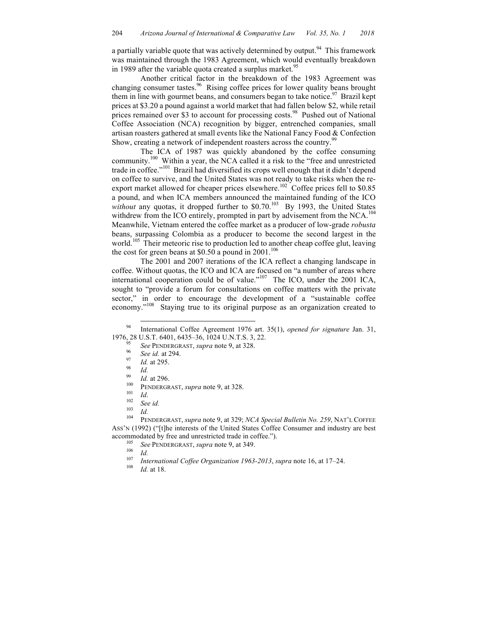a partially variable quote that was actively determined by output.<sup>94</sup> This framework was maintained through the 1983 Agreement, which would eventually breakdown in 1989 after the variable quota created a surplus market.<sup>95</sup>

Another critical factor in the breakdown of the 1983 Agreement was changing consumer tastes.<sup>96</sup> Rising coffee prices for lower quality beans brought them in line with gourmet beans, and consumers began to take notice.<sup>97</sup> Brazil kept prices at \$3.20 a pound against a world market that had fallen below \$2, while retail prices remained over \$3 to account for processing costs.<sup>98</sup> Pushed out of National Coffee Association (NCA) recognition by bigger, entrenched companies, small artisan roasters gathered at small events like the National Fancy Food & Confection Show, creating a network of independent roasters across the country.<sup>99</sup>

The ICA of 1987 was quickly abandoned by the coffee consuming community. 100 Within a year, the NCA called it a risk to the "free and unrestricted trade in coffee."<sup>101</sup> Brazil had diversified its crops well enough that it didn't depend on coffee to survive, and the United States was not ready to take risks when the reexport market allowed for cheaper prices elsewhere.<sup>102</sup> Coffee prices fell to \$0.85 a pound, and when ICA members announced the maintained funding of the ICO without any quotas, it dropped further to \$0.70.<sup>103</sup> By 1993, the United States withdrew from the ICO entirely, prompted in part by advisement from the NCA.<sup>104</sup> Meanwhile, Vietnam entered the coffee market as a producer of low-grade *robusta* beans, surpassing Colombia as a producer to become the second largest in the world.<sup>105</sup> Their meteoric rise to production led to another cheap coffee glut, leaving the cost for green beans at \$0.50 a pound in  $2001$ .<sup>106</sup>

The 2001 and 2007 iterations of the ICA reflect a changing landscape in coffee. Without quotas, the ICO and ICA are focused on "a number of areas where international cooperation could be of value."<sup>107</sup> The ICO, under the 2001 ICA, sought to "provide a forum for consultations on coffee matters with the private sector," in order to encourage the development of a "sustainable coffee economy."<sup>108</sup> Staying true to its original purpose as an organization created to

- 
- accommodated by free and unrestricted trade in coffee.").<br>
<sup>105</sup> See PENDERGRAST, *supra* note 9, at 349.<br>
<sup>106</sup> Id.<br> *International Coffee Organization 1963-2013, supra* note 16, at 17–24.<br>
<sup>108</sup> Id. at 18.
	-

 <sup>94</sup> International Coffee Agreement 1976 art. 35(1), *opened for signature* Jan. 31,

<sup>1976, 28</sup> U.S.T. 6401, 6435–36, 1024 U.N.T.S. 3, 22.<br>
<sup>95</sup> See PENDERGRAST, *supra* note 9, at 328.<br>
<sup>96</sup> See id. at 294.<br>
<sup>97</sup> Id. at 295.<br>
<sup>99</sup> Id. at 296.<br>
<sup>100</sup> PENDERGRAST, *supra* note 9, at 328.<br>
<sup>101</sup> Id.<br>
<sup>102</sup> Se ASS'N (1992) ("[t]he interests of the United States Coffee Consumer and industry are best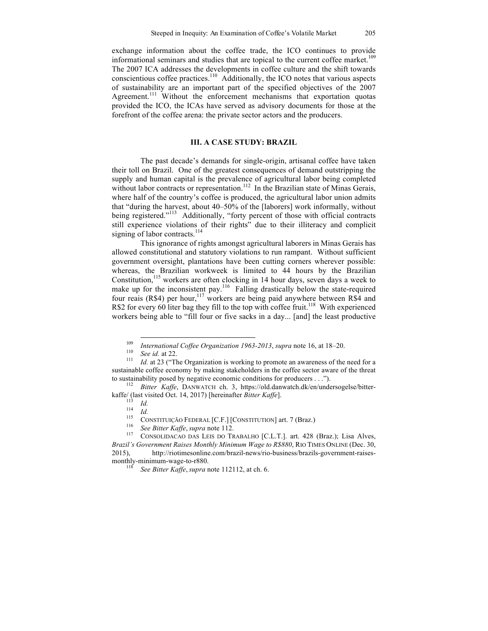exchange information about the coffee trade, the ICO continues to provide informational seminars and studies that are topical to the current coffee market. 109 The 2007 ICA addresses the developments in coffee culture and the shift towards conscientious coffee practices. 110 Additionally, the ICO notes that various aspects of sustainability are an important part of the specified objectives of the 2007 Agreement.<sup>111</sup> Without the enforcement mechanisms that exportation quotas provided the ICO, the ICAs have served as advisory documents for those at the forefront of the coffee arena: the private sector actors and the producers.

#### **III. A CASE STUDY: BRAZIL**

The past decade's demands for single-origin, artisanal coffee have taken their toll on Brazil. One of the greatest consequences of demand outstripping the supply and human capital is the prevalence of agricultural labor being completed without labor contracts or representation.<sup>112</sup> In the Brazilian state of Minas Gerais, where half of the country's coffee is produced, the agricultural labor union admits that "during the harvest, about 40–50% of the [laborers] work informally, without being registered."<sup>113</sup> Additionally, "forty percent of those with official contracts still experience violations of their rights" due to their illiteracy and complicit signing of labor contracts.<sup>114</sup>

This ignorance of rights amongst agricultural laborers in Minas Gerais has allowed constitutional and statutory violations to run rampant. Without sufficient government oversight, plantations have been cutting corners wherever possible: whereas, the Brazilian workweek is limited to 44 hours by the Brazilian Constitution,<sup>115</sup> workers are often clocking in 14 hour days, seven days a week to make up for the inconsistent pay.<sup>116</sup> Falling drastically below the state-required four reais (R\$4) per hour,<sup>117</sup> workers are being paid anywhere between R\$4 and R\$2 for every 60 liter bag they fill to the top with coffee fruit.<sup>118</sup> With experienced workers being able to "fill four or five sacks in a day... [and] the least productive

<sup>&</sup>lt;sup>109</sup> *International Coffee Organization 1963-2013*, *supra* note 16, at 18–20.<br><sup>110</sup> *Id.* at 22. <sup>111</sup> *Id.* at 23 ("The Organization is working to promote an awareness of the need for a

sustainable coffee economy by making stakeholders in the coffee sector aware of the threat to sustainability posed by negative economic conditions for producers . . .").<br><sup>112</sup> *Bitter Kaffe*, DANWATCH ch. 3, https://old.danwatch.dk/en/undersogelse/bitter-

kaffe/(last visited Oct. 14, 2017) [hereinafter *Bitter Kaffe*].<br>
<sup>113</sup> *Id.*<br>
<sup>114</sup> *Id.*<br>
CONSTITUIÇÃO FEDERAL [C.F.] [CONSTITUTION] art. 7 (Braz.)<br>
<sup>116</sup> *See Bitter Kaffe*, *supra* note 112.<br>
<sup>116</sup> *CONSOLIDACAO DAS* 

*Brazil's Government Raises Monthly Minimum Wage to R\$880*, RIO TIMES ONLINE (Dec. 30, 2015), http://riotimesonline.com/brazil-news/rio-business/brazils-government-raisesmonthly-minimum-wage-to-r880.<br><sup>118</sup> *See Bitter Kaffe*, *supra* note 112112, at ch. 6.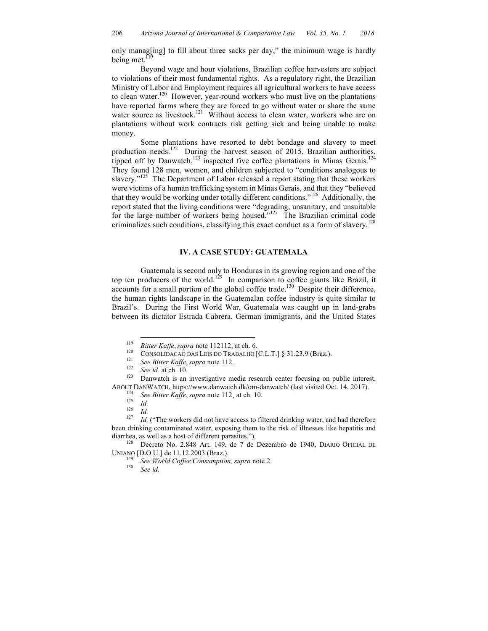only manag[ing] to fill about three sacks per day," the minimum wage is hardly being met.<sup>119</sup>

Beyond wage and hour violations, Brazilian coffee harvesters are subject to violations of their most fundamental rights. As a regulatory right, the Brazilian Ministry of Labor and Employment requires all agricultural workers to have access to clean water.<sup>120</sup> However, year-round workers who must live on the plantations have reported farms where they are forced to go without water or share the same water source as livestock.<sup>121</sup> Without access to clean water, workers who are on plantations without work contracts risk getting sick and being unable to make money.

Some plantations have resorted to debt bondage and slavery to meet production needs.<sup>122</sup> During the harvest season of 2015, Brazilian authorities, tipped off by Danwatch,  $123$  inspected five coffee plantations in Minas Gerais.<sup>124</sup> They found 128 men, women, and children subjected to "conditions analogous to slavery."<sup>125</sup> The Department of Labor released a report stating that these workers were victims of a human trafficking system in Minas Gerais, and that they "believed that they would be working under totally different conditions."<sup>126</sup> Additionally, the report stated that the living conditions were "degrading, unsanitary, and unsuitable for the large number of workers being housed."<sup>127</sup> The Brazilian criminal code criminalizes such conditions, classifying this exact conduct as a form of slavery.<sup>128</sup>

#### **IV. A CASE STUDY: GUATEMALA**

Guatemala is second only to Honduras in its growing region and one of the top ten producers of the world.<sup>129</sup> In comparison to coffee giants like Brazil, it accounts for a small portion of the global coffee trade.<sup>130</sup> Despite their difference, the human rights landscape in the Guatemalan coffee industry is quite similar to Brazil's. During the First World War, Guatemala was caught up in land-grabs between its dictator Estrada Cabrera, German immigrants, and the United States

<sup>&</sup>lt;sup>119</sup> *Bitter Kaffe, supra* note 112112, at ch. 6.<br>
<sup>120</sup> CONSOLIDACAO DAS LEIS DO TRABALHO [C.L.T.] § 31.23.9 (Braz.).<br> *See Bitter Kaffe, supra* note 112.<br> *See id.* at ch. 10.<br>
Danwatch is an investigative media resear

ABOUT DANWATCH, https://www.danwatch.dk/om-danwatch/ (last visited Oct. 14, 2017).<br>
<sup>124</sup> See Bitter Kaffe, supra note 112, at ch. 10.<br>
<sup>125</sup> *Id.*<br>
<sup>126</sup> *Id.*<br>
<sup>126</sup> *Id.* ("The workers did not have access to filtered d

been drinking contaminated water, exposing them to the risk of illnesses like hepatitis and diarrhea, as well as a host of different parasites.").<br><sup>128</sup> Decreto No. 2.848 Art. 149, de 7 de Dezembro de 1940, DIARIO OFICIAL DE

UNIANO [D.O.U.] de 11.12.2003 (Braz.). <sup>129</sup> *See World Coffee Consumption, supra* note 2. <sup>130</sup> *See id.*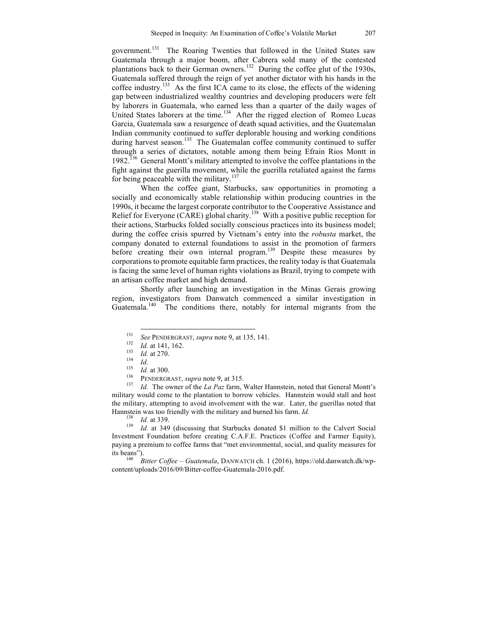government.<sup>131</sup> The Roaring Twenties that followed in the United States saw Guatemala through a major boom, after Cabrera sold many of the contested plantations back to their German owners.<sup>132</sup> During the coffee glut of the 1930s, Guatemala suffered through the reign of yet another dictator with his hands in the coffee industry. 133 As the first ICA came to its close, the effects of the widening gap between industrialized wealthy countries and developing producers were felt by laborers in Guatemala, who earned less than a quarter of the daily wages of United States laborers at the time.<sup>134</sup> After the rigged election of Romeo Lucas Garcia, Guatemala saw a resurgence of death squad activities, and the Guatemalan Indian community continued to suffer deplorable housing and working conditions during harvest season.<sup>135</sup> The Guatemalan coffee community continued to suffer through a series of dictators, notable among them being Efrain Rios Montt in 1982.<sup>136</sup> General Montt's military attempted to involve the coffee plantations in the fight against the guerilla movement, while the guerilla retaliated against the farms for being peaceable with the military.<sup>137</sup>

When the coffee giant, Starbucks, saw opportunities in promoting a socially and economically stable relationship within producing countries in the 1990s, it became the largest corporate contributor to the Cooperative Assistance and Relief for Everyone (CARE) global charity.<sup>138</sup> With a positive public reception for their actions, Starbucks folded socially conscious practices into its business model; during the coffee crisis spurred by Vietnam's entry into the *robusta* market, the company donated to external foundations to assist in the promotion of farmers before creating their own internal program.<sup>139</sup> Despite these measures by corporations to promote equitable farm practices, the reality today is that Guatemala is facing the same level of human rights violations as Brazil, trying to compete with an artisan coffee market and high demand.

Shortly after launching an investigation in the Minas Gerais growing region, investigators from Danwatch commenced a similar investigation in Guatemala.<sup>140</sup> The conditions there, notably for internal migrants from the

<sup>131</sup><br>
See PENDERGRAST, supra note 9, at 135, 141.<br> *Id.* at 141, 162.<br> *Id.* at 270.<br> *Id.* at 300.<br> *IS Id.* at 300.<br>
PENDERGRAST, *supra* note 9, at 315.<br> *IA II* The owner of the *La Paz* farm, Walter Hannstein, n military would come to the plantation to borrow vehicles. Hannstein would stall and host the military, attempting to avoid involvement with the war. Later, the guerillas noted that Hannstein was too friendly with the military and burned his farm. *Id.* <sup>138</sup> *Id.* at 339. *Id.* at 349 (discussing that Starbucks donated \$1 million to the Calvert Social

Investment Foundation before creating C.A.F.E. Practices (Coffee and Farmer Equity), paying a premium to coffee farms that "met environmental, social, and quality measures for its beans"). 140 *Bitter Coffee – Guatemala*, DANWATCH ch. 1 (2016), https://old.danwatch.dk/wp-

content/uploads/2016/09/Bitter-coffee-Guatemala-2016.pdf.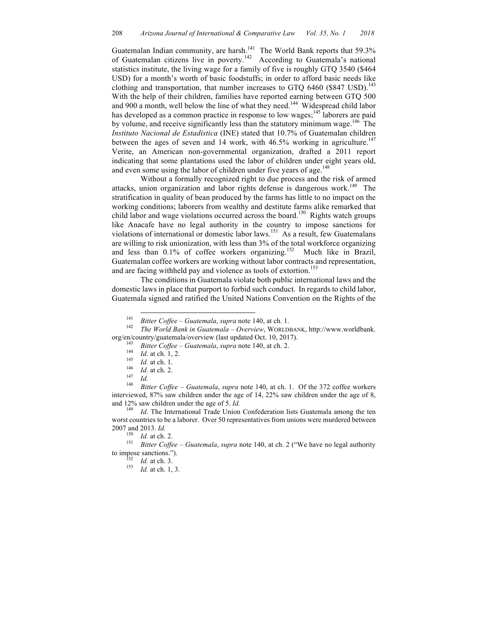Guatemalan Indian community, are harsh.<sup>141</sup> The World Bank reports that 59.3% of Guatemalan citizens live in poverty.<sup>142</sup> According to Guatemala's national statistics institute, the living wage for a family of five is roughly GTQ 3540 (\$464 USD) for a month's worth of basic foodstuffs; in order to afford basic needs like clothing and transportation, that number increases to GTQ 6460 (\$847 USD).<sup>143</sup> With the help of their children, families have reported earning between GTQ 500 and 900 a month, well below the line of what they need.<sup>144</sup> Widespread child labor has developed as a common practice in response to low wages;<sup>145</sup> laborers are paid by volume, and receive significantly less than the statutory minimum wage.<sup>146</sup> The *Instituto Nacional de Estadistica* (INE) stated that 10.7% of Guatemalan children between the ages of seven and 14 work, with  $46.5\%$  working in agriculture.<sup>147</sup> Verite, an American non-governmental organization, drafted a 2011 report indicating that some plantations used the labor of children under eight years old, and even some using the labor of children under five years of age.<sup>148</sup>

Without a formally recognized right to due process and the risk of armed attacks, union organization and labor rights defense is dangerous work.<sup>149</sup> The stratification in quality of bean produced by the farms has little to no impact on the working conditions; laborers from wealthy and destitute farms alike remarked that child labor and wage violations occurred across the board.<sup>150</sup> Rights watch groups like Anacafe have no legal authority in the country to impose sanctions for violations of international or domestic labor laws.<sup>151</sup> As a result, few Guatemalans are willing to risk unionization, with less than 3% of the total workforce organizing and less than 0.1% of coffee workers organizing.<sup>152</sup> Much like in Brazil, Guatemalan coffee workers are working without labor contracts and representation, and are facing withheld pay and violence as tools of extortion. 153

The conditions in Guatemala violate both public international laws and the domestic laws in place that purport to forbid such conduct. In regards to child labor, Guatemala signed and ratified the United Nations Convention on the Rights of the

and 12% saw children under the age of 5. *Id*.<br><sup>149</sup> *Id*. The International Trade Union Confederation lists Guatemala among the ten worst countries to be a laborer. Over 50 representatives from unions were murdered between 2007 and 2013. *Id.*<br><sup>150</sup> *Id.* at ch. 2.<br><sup>151</sup> *Bitter Coffee – Guatemala, supra* note 140, at ch. 2 ("We have no legal authority

to impose sanctions.").<br><sup>152</sup> *Id.* at ch. 3.<br><sup>153</sup> *Id.* at ch. 1, 3.

<sup>&</sup>lt;sup>141</sup> *Bitter Coffee – Guatemala, supra* note 140, at ch. 1.<br><sup>142</sup> *The World Bank in Guatemala – Overview*, WORLDBANK, http://www.worldbank. org/en/country/guatemala/overview (last updated Oct. 10, 2017).

<sup>&</sup>lt;sup>143</sup> *Bitter Coffee – Guatemala, supra* note 140, at ch. 2.<br>
<sup>144</sup> *Id.* at ch. 1, 2.<br>
<sup>145</sup> *Id.* at ch. 1.<br>
<sup>146</sup> *Id.* at ch. 2.<br>
<sup>147</sup> *Id.*<br> *Id.*<br> *Bitter Coffee – Guatemala, supra* note 140, at ch. 1. Of the 372 c interviewed, 87% saw children under the age of 14, 22% saw children under the age of 8,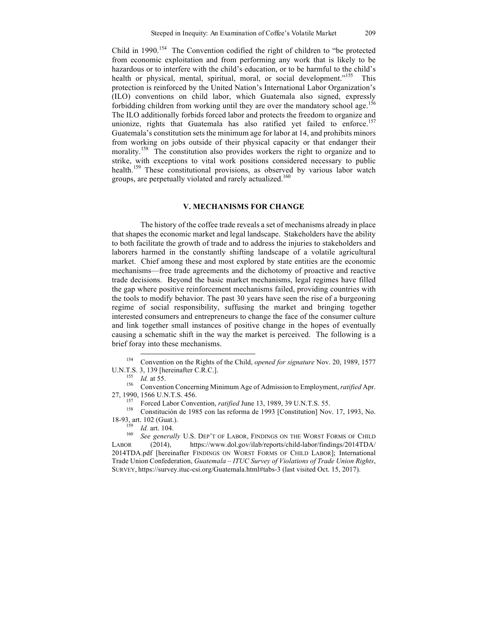Child in 1990.<sup>154</sup> The Convention codified the right of children to "be protected from economic exploitation and from performing any work that is likely to be hazardous or to interfere with the child's education, or to be harmful to the child's health or physical, mental, spiritual, moral, or social development."<sup>155</sup> This protection is reinforced by the United Nation's International Labor Organization's (ILO) conventions on child labor, which Guatemala also signed, expressly forbidding children from working until they are over the mandatory school age.<sup>156</sup> The ILO additionally forbids forced labor and protects the freedom to organize and unionize, rights that Guatemala has also ratified vet failed to enforce.<sup>157</sup> Guatemala's constitution sets the minimum age for labor at 14, and prohibits minors from working on jobs outside of their physical capacity or that endanger their morality.<sup>158</sup> The constitution also provides workers the right to organize and to strike, with exceptions to vital work positions considered necessary to public health.<sup>159</sup> These constitutional provisions, as observed by various labor watch groups, are perpetually violated and rarely actualized.<sup>160</sup>

# **V. MECHANISMS FOR CHANGE**

The history of the coffee trade reveals a set of mechanisms already in place that shapes the economic market and legal landscape. Stakeholders have the ability to both facilitate the growth of trade and to address the injuries to stakeholders and laborers harmed in the constantly shifting landscape of a volatile agricultural market. Chief among these and most explored by state entities are the economic mechanisms—free trade agreements and the dichotomy of proactive and reactive trade decisions. Beyond the basic market mechanisms, legal regimes have filled the gap where positive reinforcement mechanisms failed, providing countries with the tools to modify behavior. The past 30 years have seen the rise of a burgeoning regime of social responsibility, suffusing the market and bringing together interested consumers and entrepreneurs to change the face of the consumer culture and link together small instances of positive change in the hopes of eventually causing a schematic shift in the way the market is perceived. The following is a brief foray into these mechanisms.

U.N.T.S. 3, 139 [hereinafter C.R.C.]. 155 *Id.* at 55. <sup>156</sup> Convention Concerning Minimum Age of Admission to Employment, *ratified* Apr.

27, 1990, 1566 U.N.T.S. 456. <sup>157</sup> Forced Labor Convention, *ratified* June 13, 1989, 39 U.N.T.S. 55. 158 Constitución de 1985 con las reforma de 1993 [Constitution] Nov. 17, 1993, No. 18-93, art. 102 (Guat.).<br><sup>159</sup> *Id.* art. 104.

<sup>159</sup> *Id.* art. 104. 160 *See generally* U.S. DEP'T OF LABOR, FINDINGS ON THE WORST FORMS OF CHILD LABOR (2014), https://www.dol.gov/ilab/reports/child-labor/findings/2014TDA/ 2014TDA.pdf [hereinafter FINDINGS ON WORST FORMS OF CHILD LABOR]; International Trade Union Confederation, *Guatemala – ITUC Survey of Violations of Trade Union Rights*, SURVEY, https://survey.ituc-csi.org/Guatemala.html#tabs-3 (last visited Oct. 15, 2017).

 <sup>154</sup> Convention on the Rights of the Child, *opened for signature* Nov. 20, 1989, 1577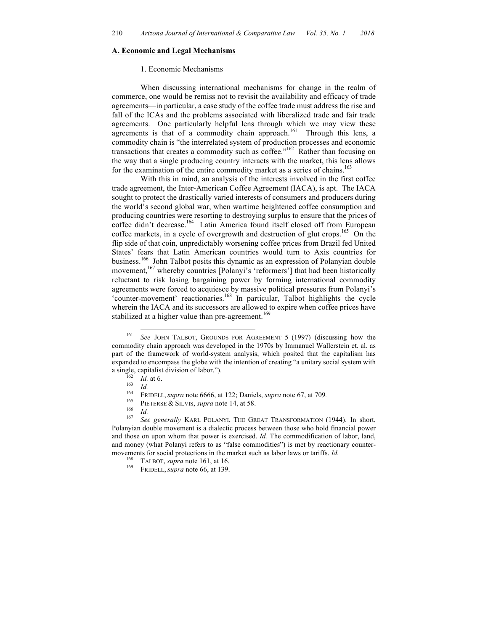#### **A. Economic and Legal Mechanisms**

#### 1. Economic Mechanisms

When discussing international mechanisms for change in the realm of commerce, one would be remiss not to revisit the availability and efficacy of trade agreements—in particular, a case study of the coffee trade must address the rise and fall of the ICAs and the problems associated with liberalized trade and fair trade agreements. One particularly helpful lens through which we may view these agreements is that of a commodity chain approach.<sup>161</sup> Through this lens, a commodity chain is "the interrelated system of production processes and economic transactions that creates a commodity such as coffee." $162$  Rather than focusing on the way that a single producing country interacts with the market, this lens allows for the examination of the entire commodity market as a series of chains.<sup>163</sup>

With this in mind, an analysis of the interests involved in the first coffee trade agreement, the Inter-American Coffee Agreement (IACA), is apt. The IACA sought to protect the drastically varied interests of consumers and producers during the world's second global war, when wartime heightened coffee consumption and producing countries were resorting to destroying surplus to ensure that the prices of coffee didn't decrease. <sup>164</sup> Latin America found itself closed off from European coffee markets, in a cycle of overgrowth and destruction of glut crops.165 On the flip side of that coin, unpredictably worsening coffee prices from Brazil fed United States' fears that Latin American countries would turn to Axis countries for business.<sup>166</sup> John Talbot posits this dynamic as an expression of Polanyian double movement,<sup>167</sup> whereby countries [Polanyi's 'reformers'] that had been historically reluctant to risk losing bargaining power by forming international commodity agreements were forced to acquiesce by massive political pressures from Polanyi's 'counter-movement' reactionaries. <sup>168</sup> In particular, Talbot highlights the cycle wherein the IACA and its successors are allowed to expire when coffee prices have stabilized at a higher value than pre-agreement.<sup>169</sup>

 <sup>161</sup> *See* JOHN TALBOT, GROUNDS FOR AGREEMENT <sup>5</sup> (1997) (discussing how the commodity chain approach was developed in the 1970s by Immanuel Wallerstein et. al. as part of the framework of world-system analysis, which posited that the capitalism has expanded to encompass the globe with the intention of creating "a unitary social system with a single, capitalist division of labor.").<br>
<sup>162</sup> *Id.* at 6.<br>
<sup>163</sup> *Id.*<br>
<sup>164</sup> FRIDELL, *supra* note 6666, at 122; Daniels, *supra* note 67, at 709.<br>
<sup>165</sup> PIETERSE & SILVIS, *supra* note 14, at 58.<br>
<sup>166</sup> *Id.*<br>
<sup>167</sup>

Polanyian double movement is a dialectic process between those who hold financial power and those on upon whom that power is exercised. *Id.* The commodification of labor, land, and money (what Polanyi refers to as "false commodities") is met by reactionary countermovements for social protections in the market such as labor laws or tariffs. *Id.* <sup>168</sup> TALBOT, *supra* note 161, at 16. **FRIDELL**, *supra* note 66, at 139.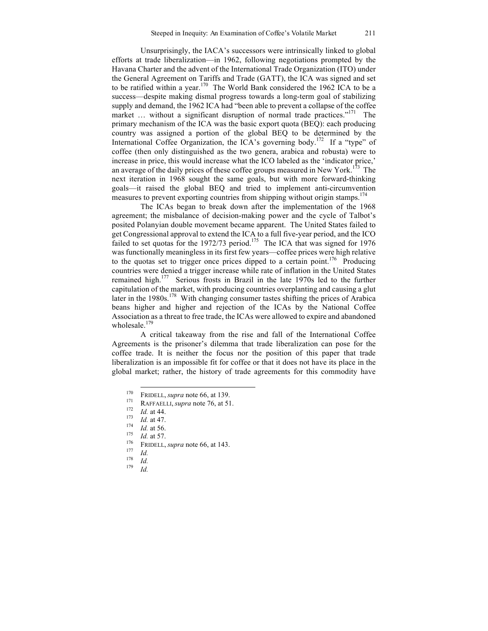Unsurprisingly, the IACA's successors were intrinsically linked to global efforts at trade liberalization—in 1962, following negotiations prompted by the Havana Charter and the advent of the International Trade Organization (ITO) under the General Agreement on Tariffs and Trade (GATT), the ICA was signed and set to be ratified within a year.<sup>170</sup> The World Bank considered the 1962 ICA to be a success—despite making dismal progress towards a long-term goal of stabilizing supply and demand, the 1962 ICA had "been able to prevent a collapse of the coffee market ... without a significant disruption of normal trade practices."<sup>171</sup> The primary mechanism of the ICA was the basic export quota (BEQ): each producing country was assigned a portion of the global BEQ to be determined by the International Coffee Organization, the ICA's governing body.<sup>172</sup> If a "type" of coffee (then only distinguished as the two genera, arabica and robusta) were to increase in price, this would increase what the ICO labeled as the 'indicator price,' an average of the daily prices of these coffee groups measured in New York.<sup>173</sup> The next iteration in 1968 sought the same goals, but with more forward-thinking goals—it raised the global BEQ and tried to implement anti-circumvention measures to prevent exporting countries from shipping without origin stamps.<sup>174</sup>

The ICAs began to break down after the implementation of the 1968 agreement; the misbalance of decision-making power and the cycle of Talbot's posited Polanyian double movement became apparent. The United States failed to get Congressional approval to extend the ICA to a full five-year period, and the ICO failed to set quotas for the 1972/73 period.<sup>175</sup> The ICA that was signed for 1976 was functionally meaningless in its first few years—coffee prices were high relative to the quotas set to trigger once prices dipped to a certain point.<sup>176</sup> Producing countries were denied a trigger increase while rate of inflation in the United States remained high.<sup>177</sup> Serious frosts in Brazil in the late 1970s led to the further capitulation of the market, with producing countries overplanting and causing a glut later in the 1980s.<sup>178</sup> With changing consumer tastes shifting the prices of Arabica beans higher and higher and rejection of the ICAs by the National Coffee Association as a threat to free trade, the ICAs were allowed to expire and abandoned wholesale. $179$ 

A critical takeaway from the rise and fall of the International Coffee Agreements is the prisoner's dilemma that trade liberalization can pose for the coffee trade. It is neither the focus nor the position of this paper that trade liberalization is an impossible fit for coffee or that it does not have its place in the global market; rather, the history of trade agreements for this commodity have

<sup>170</sup> **FRIDELL**, *supra* note 66, at 139.<br>
171 **RAFFAELLI**, *supra* note 76, at 51.<br>
172 *Id.* at 44.<br>
173 *Id.* at 47.<br>
174 *Id.* at 56.<br>
175 *Id.* at 57.<br>
176 **FRIDELL**, *supra* note 66, at 143.<br>
177 *Id.*<br>
179 *Id.*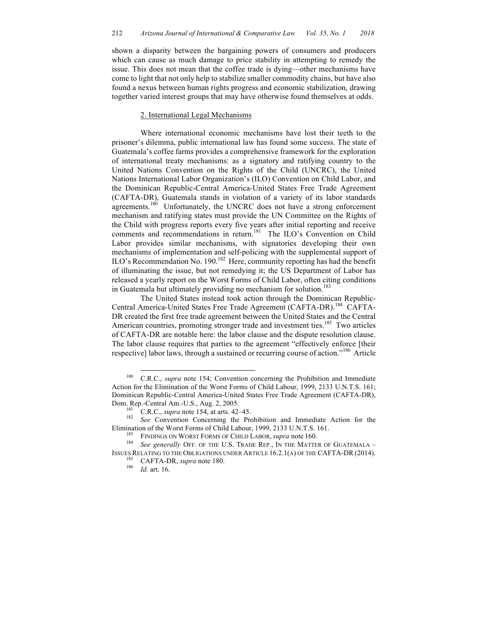shown a disparity between the bargaining powers of consumers and producers which can cause as much damage to price stability in attempting to remedy the issue. This does not mean that the coffee trade is dying—other mechanisms have come to light that not only help to stabilize smaller commodity chains, but have also found a nexus between human rights progress and economic stabilization, drawing together varied interest groups that may have otherwise found themselves at odds.

# 2. International Legal Mechanisms

Where international economic mechanisms have lost their teeth to the prisoner's dilemma, public international law has found some success. The state of Guatemala's coffee farms provides a comprehensive framework for the exploration of international treaty mechanisms: as a signatory and ratifying country to the United Nations Convention on the Rights of the Child (UNCRC), the United Nations International Labor Organization's (ILO) Convention on Child Labor, and the Dominican Republic-Central America-United States Free Trade Agreement (CAFTA-DR), Guatemala stands in violation of a variety of its labor standards agreements.<sup>180</sup> Unfortunately, the UNCRC does not have a strong enforcement mechanism and ratifying states must provide the UN Committee on the Rights of the Child with progress reports every five years after initial reporting and receive comments and recommendations in return.<sup>181</sup> The ILO's Convention on Child Labor provides similar mechanisms, with signatories developing their own mechanisms of implementation and self-policing with the supplemental support of ILO's Recommendation No. 190.<sup>182</sup> Here, community reporting has had the benefit of illuminating the issue, but not remedying it; the US Department of Labor has released a yearly report on the Worst Forms of Child Labor, often citing conditions in Guatemala but ultimately providing no mechanism for solution.<sup>183</sup>

The United States instead took action through the Dominican Republic-Central America-United States Free Trade Agreement (CAFTA-DR).<sup>184</sup> CAFTA-DR created the first free trade agreement between the United States and the Central American countries, promoting stronger trade and investment ties.<sup>185</sup> Two articles of CAFTA-DR are notable here: the labor clause and the dispute resolution clause. The labor clause requires that parties to the agreement "effectively enforce [their respective] labor laws, through a sustained or recurring course of action."<sup>186</sup> Article

 <sup>180</sup> C.R.C., *supra* note 154; Convention concerning the Prohibition and Immediate Action for the Elimination of the Worst Forms of Child Labour, 1999, 2133 U.N.T.S. 161; Dominican Republic-Central America-United States Free Trade Agreement (CAFTA-DR),

Dom. Rep.-Central Am.-U.S., Aug. 2, 2005.<br><sup>181</sup> C.R.C., *supra* note 154, at arts. 42–45.<br><sup>182</sup> *See* Convention Concerning the Prohibition and Immediate Action for the

Elimination of the Worst Forms of Child Labour, 1999, 2133 U.N.T.S. 161.<br><sup>183</sup> FINDINGS ON WORST FORMS OF CHILD LABOR, *supra* note 160.<br><sup>184</sup> *See generally* OFF. OF THE U.S. TRADE REP., IN THE MATTER OF GUATEMALA – ISSUES RELATING TO THE OBLIGATIONS UNDER ARTICLE 16.2.1(A) OF THE CAFTA-DR (2014). 185 CAFTA-DR, *supra* note 180. 186 *Id.* art. 16.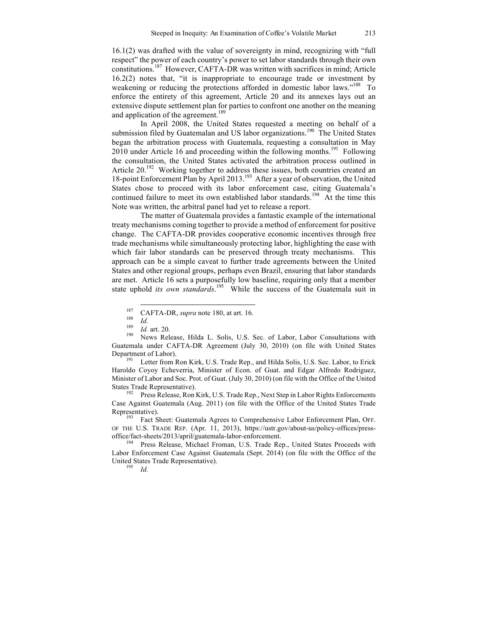16.1(2) was drafted with the value of sovereignty in mind, recognizing with "full respect" the power of each country's power to set labor standards through their own constitutions.187 However, CAFTA-DR was written with sacrifices in mind; Article 16.2(2) notes that, "it is inappropriate to encourage trade or investment by weakening or reducing the protections afforded in domestic labor laws."<sup>188</sup> To enforce the entirety of this agreement, Article 20 and its annexes lays out an extensive dispute settlement plan for parties to confront one another on the meaning and application of the agreement.<sup>189</sup>

In April 2008, the United States requested a meeting on behalf of a submission filed by Guatemalan and US labor organizations.<sup>190</sup> The United States began the arbitration process with Guatemala, requesting a consultation in May 2010 under Article 16 and proceeding within the following months.<sup>191</sup> Following the consultation, the United States activated the arbitration process outlined in Article 20.<sup>192</sup> Working together to address these issues, both countries created an 18-point Enforcement Plan by April 2013. <sup>193</sup> After a year of observation, the United States chose to proceed with its labor enforcement case, citing Guatemala's continued failure to meet its own established labor standards.<sup>194</sup> At the time this Note was written, the arbitral panel had yet to release a report.

The matter of Guatemala provides a fantastic example of the international treaty mechanisms coming together to provide a method of enforcement for positive change. The CAFTA-DR provides cooperative economic incentives through free trade mechanisms while simultaneously protecting labor, highlighting the ease with which fair labor standards can be preserved through treaty mechanisms. This approach can be a simple caveat to further trade agreements between the United States and other regional groups, perhaps even Brazil, ensuring that labor standards are met. Article 16 sets a purposefully low baseline, requiring only that a member state uphold *its own standards*. 195 While the success of the Guatemala suit in

Haroldo Coyoy Echeverria, Minister of Econ. of Guat. and Edgar Alfredo Rodriguez, Minister of Labor and Soc. Prot. of Guat. (July 30, 2010) (on file with the Office of the United

States Trade Representative).<br><sup>192</sup> Press Release, Ron Kirk, U.S. Trade Rep., Next Step in Labor Rights Enforcements Case Against Guatemala (Aug. 2011) (on file with the Office of the United States Trade Representative).<br><sup>193</sup> Fact Sheet: Guatemala Agrees to Comprehensive Labor Enforcement Plan, OFF.

OF THE U.S. TRADE REP. (Apr. 11, 2013), https://ustr.gov/about-us/policy-offices/pressoffice/fact-sheets/2013/april/guatemala-labor-enforcement. <sup>194</sup> Press Release, Michael Froman, U.S. Trade Rep., United States Proceeds with

Labor Enforcement Case Against Guatemala (Sept. 2014) (on file with the Office of the United States Trade Representative). <sup>195</sup> *Id.*

<sup>187</sup> CAFTA-DR, *supra* note 180, at art. 16.<br>
188 *Id.*<br>
189 *Id.* art. 20.<br>
190 News Release, Hilda L. Solis, U.S. Sec. of Labor, Labor Consultations with Guatemala under CAFTA-DR Agreement (July 30, 2010) (on file with United States Department of Labor).<br><sup>191</sup> Letter from Ron Kirk, U.S. Trade Rep., and Hilda Solis, U.S. Sec. Labor, to Erick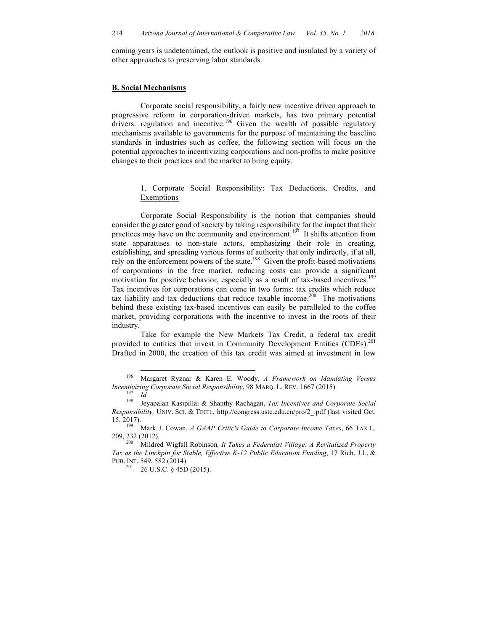coming years is undetermined, the outlook is positive and insulated by a variety of other approaches to preserving labor standards.

## **B. Social Mechanisms**

Corporate social responsibility, a fairly new incentive driven approach to progressive reform in corporation-driven markets, has two primary potential  $\frac{1}{2}$  drivers: regulation and incentive.<sup>196</sup> Given the wealth of possible regulatory mechanisms available to governments for the purpose of maintaining the baseline standards in industries such as coffee, the following section will focus on the potential approaches to incentivizing corporations and non-profits to make positive changes to their practices and the market to bring equity.

# 1. Corporate Social Responsibility: Tax Deductions, Credits, and **Exemptions**

Corporate Social Responsibility is the notion that companies should consider the greater good of society by taking responsibility for the impact that their practices may have on the community and environment.<sup>197</sup> It shifts attention from state apparatuses to non-state actors, emphasizing their role in creating, establishing, and spreading various forms of authority that only indirectly, if at all, rely on the enforcement powers of the state.<sup>198</sup> Given the profit-based motivations of corporations in the free market, reducing costs can provide a significant motivation for positive behavior, especially as a result of tax-based incentives.<sup>199</sup> Tax incentives for corporations can come in two forms: tax credits which reduce tax liability and tax deductions that reduce taxable income.<sup>200</sup> The motivations behind these existing tax-based incentives can easily be paralleled to the coffee market, providing corporations with the incentive to invest in the roots of their industry.

Take for example the New Markets Tax Credit, a federal tax credit provided to entities that invest in Community Development Entities (CDEs).<sup>201</sup> Drafted in 2000, the creation of this tax credit was aimed at investment in low

 <sup>196</sup> Margaret Ryznar & Karen E. Woody, *A Framework on Mandating Versus Incentivizing Corporate Social Responsibility*, 98 MARQ. L. REV. 1667 (2015). <sup>197</sup>*Id.* <sup>198</sup> Jeyapalan Kasipillai & Shanthy Rachagan, *Tax Incentives and Corporate Social* 

*Responsibility,* UNIV. SCI. & TECH., http://congress.ustc.edu.cn/pro/2\_.pdf (last visited Oct. 15, 2017). 199 Mark J. Cowan, *A GAAP Critic's Guide to Corporate Income Taxes*, 66 TAX L.

<sup>209, 232 (2012). 200</sup> Mildred Wigfall Robinson*, It Takes a Federalist Village: A Revitalized Property* 

*Tax as the Linchpin for Stable, Effective K-12 Public Education Funding*, 17 Rich. J.L. & PUB. INT. 549, 582 (2014).<br><sup>201</sup> 26 U.S.C. § 45D (2015).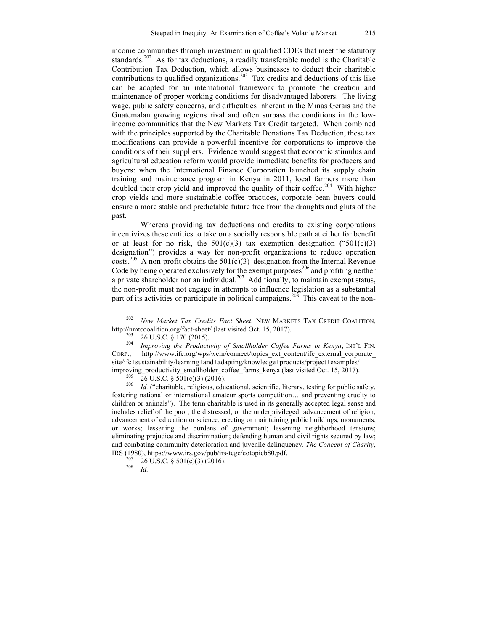income communities through investment in qualified CDEs that meet the statutory standards.<sup>202</sup> As for tax deductions, a readily transferable model is the Charitable Contribution Tax Deduction, which allows businesses to deduct their charitable contributions to qualified organizations.<sup>203</sup> Tax credits and deductions of this like can be adapted for an international framework to promote the creation and maintenance of proper working conditions for disadvantaged laborers. The living wage, public safety concerns, and difficulties inherent in the Minas Gerais and the Guatemalan growing regions rival and often surpass the conditions in the lowincome communities that the New Markets Tax Credit targeted. When combined with the principles supported by the Charitable Donations Tax Deduction, these tax modifications can provide a powerful incentive for corporations to improve the conditions of their suppliers. Evidence would suggest that economic stimulus and agricultural education reform would provide immediate benefits for producers and buyers: when the International Finance Corporation launched its supply chain training and maintenance program in Kenya in 2011, local farmers more than doubled their crop yield and improved the quality of their coffee.<sup>204</sup> With higher crop yields and more sustainable coffee practices, corporate bean buyers could ensure a more stable and predictable future free from the droughts and gluts of the past.

Whereas providing tax deductions and credits to existing corporations incentivizes these entities to take on a socially responsible path at either for benefit or at least for no risk, the  $501(c)(3)$  tax exemption designation (" $501(c)(3)$ ) designation") provides a way for non-profit organizations to reduce operation costs.<sup>205</sup> A non-profit obtains the 501(c)(3) designation from the Internal Revenue Code by being operated exclusively for the exempt purposes<sup>206</sup> and profiting neither a private shareholder nor an individual.<sup>207</sup> Additionally, to maintain exempt status, the non-profit must not engage in attempts to influence legislation as a substantial part of its activities or participate in political campaigns.<sup>208</sup> This caveat to the non-

fostering national or international amateur sports competition… and preventing cruelty to children or animals"). The term charitable is used in its generally accepted legal sense and includes relief of the poor, the distressed, or the underprivileged; advancement of religion; advancement of education or science; erecting or maintaining public buildings, monuments, or works; lessening the burdens of government; lessening neighborhood tensions; eliminating prejudice and discrimination; defending human and civil rights secured by law; and combating community deterioration and juvenile delinquency. *The Concept of Charity*, IRS (1980), https://www.irs.gov/pub/irs-tege/eotopicb80.pdf. <sup>207</sup> <sup>26</sup> U.S.C. § 501(c)(3) (2016). <sup>208</sup> *Id.*

<sup>&</sup>lt;sup>202</sup> *New Market Tax Credits Fact Sheet*, NEW MARKETS TAX CREDIT COALITION, http://nmtccoalition.org/fact-sheet/ (last visited Oct. 15, 2017).

<sup>&</sup>lt;sup>203</sup> 26 U.S.C. § 170 (2015).<br><sup>204</sup> *Improving the Productivity of Smallholder Coffee Farms in Kenya*, INT'L FIN. CORP., http://www.ifc.org/wps/wcm/connect/topics\_ext\_content/ifc\_external\_corporate\_ site/ifc+sustainability/learning+and+adapting/knowledge+products/project+examples/ improving\_productivity\_smallholder\_coffee\_farms\_kenya (last visited Oct. 15, 2017).<br><sup>205</sup> 26 U.S.C. § 501(c)(3) (2016).<br><sup>206</sup> *Id.* ("charitable, religious, educational, scientific, literary, testing for public safety,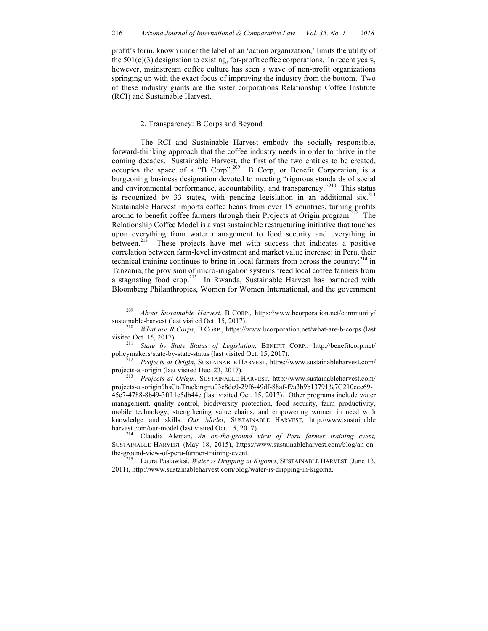profit's form, known under the label of an 'action organization,' limits the utility of the 501(c)(3) designation to existing, for-profit coffee corporations. In recent years, however, mainstream coffee culture has seen a wave of non-profit organizations springing up with the exact focus of improving the industry from the bottom. Two of these industry giants are the sister corporations Relationship Coffee Institute (RCI) and Sustainable Harvest.

#### 2. Transparency: B Corps and Beyond

The RCI and Sustainable Harvest embody the socially responsible, forward-thinking approach that the coffee industry needs in order to thrive in the coming decades. Sustainable Harvest, the first of the two entities to be created, occupies the space of a "B Corp".<sup>209</sup> B Corp, or Benefit Corporation, is a burgeoning business designation devoted to meeting "rigorous standards of social and environmental performance, accountability, and transparency."<sup>210</sup> This status is recognized by  $33$  states, with pending legislation in an additional six.<sup>211</sup> Sustainable Harvest imports coffee beans from over 15 countries, turning profits around to benefit coffee farmers through their Projects at Origin program.<sup>212</sup> The Relationship Coffee Model is a vast sustainable restructuring initiative that touches upon everything from water management to food security and everything in between.<sup>213</sup> These projects have met with success that indicates a positive correlation between farm-level investment and market value increase: in Peru, their technical training continues to bring in local farmers from across the country; $^{214}$  in Tanzania, the provision of micro-irrigation systems freed local coffee farmers from a stagnating food crop.<sup>215</sup> In Rwanda, Sustainable Harvest has partnered with Bloomberg Philanthropies, Women for Women International, and the government

Projects at Origin, SUSTAINABLE HARVEST, https://www.sustainableharvest.com/ projects-at-origin (last visited Dec. 23, 2017). 213 *Projects at Origin*, SUSTAINABLE HARVEST, http://www.sustainableharvest.com/

projects-at-origin?hsCtaTracking=a03c8de0-29f6-49df-88af-f9a3b9b13791%7C210eee69- 45e7-4788-8b49-3ff11e5db44e (last visited Oct. 15, 2017).Other programs include water management, quality control, biodiversity protection, food security, farm productivity, mobile technology, strengthening value chains, and empowering women in need with knowledge and skills. *Our Model*, SUSTAINABLE HARVEST, http://www.sustainable harvest.com/our-model (last visited Oct. 15, 2017). <sup>214</sup> Claudia Aleman, *An on-the-ground view of Peru farmer training event,* 

SUSTAINABLE HARVEST (May 18, 2015), https://www.sustainableharvest.com/blog/an-onthe-ground-view-of-peru-farmer-training-event. <sup>215</sup> Laura Paslawksi, *Water is Dripping in Kigoma*, SUSTAINABLE HARVEST (June 13,

2011), http://www.sustainableharvest.com/blog/water-is-dripping-in-kigoma.

 <sup>209</sup> *About Sustainable Harvest*, B CORP., https://www.bcorporation.net/community/ sustainable-harvest (last visited Oct. 15, 2017). 210 *What are B Corps*, B CORP., https://www.bcorporation.net/what-are-b-corps (last

visited Oct. 15, 2017).<br><sup>211</sup> *State by State Status of Legislation*, BENEFIT CORP., http://benefitcorp.net/<br>policymakers/state-by-state-status (last visited Oct. 15, 2017).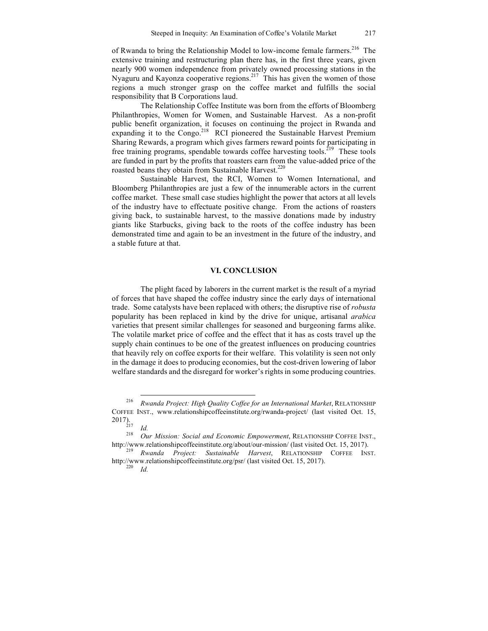of Rwanda to bring the Relationship Model to low-income female farmers.<sup>216</sup> The extensive training and restructuring plan there has, in the first three years, given nearly 900 women independence from privately owned processing stations in the Nyaguru and Kayonza cooperative regions.<sup>217</sup> This has given the women of those regions a much stronger grasp on the coffee market and fulfills the social responsibility that B Corporations laud.

The Relationship Coffee Institute was born from the efforts of Bloomberg Philanthropies, Women for Women, and Sustainable Harvest. As a non-profit public benefit organization, it focuses on continuing the project in Rwanda and expanding it to the Congo.<sup>218</sup> RCI pioneered the Sustainable Harvest Premium Sharing Rewards, a program which gives farmers reward points for participating in free training programs, spendable towards coffee harvesting tools.<sup>219</sup> These tools are funded in part by the profits that roasters earn from the value-added price of the roasted beans they obtain from Sustainable Harvest.<sup>220</sup>

Sustainable Harvest, the RCI, Women to Women International, and Bloomberg Philanthropies are just a few of the innumerable actors in the current coffee market. These small case studies highlight the power that actors at all levels of the industry have to effectuate positive change. From the actions of roasters giving back, to sustainable harvest, to the massive donations made by industry giants like Starbucks, giving back to the roots of the coffee industry has been demonstrated time and again to be an investment in the future of the industry, and a stable future at that.

#### **VI. CONCLUSION**

The plight faced by laborers in the current market is the result of a myriad of forces that have shaped the coffee industry since the early days of international trade. Some catalysts have been replaced with others; the disruptive rise of *robusta* popularity has been replaced in kind by the drive for unique, artisanal *arabica* varieties that present similar challenges for seasoned and burgeoning farms alike. The volatile market price of coffee and the effect that it has as costs travel up the supply chain continues to be one of the greatest influences on producing countries that heavily rely on coffee exports for their welfare. This volatility is seen not only in the damage it does to producing economies, but the cost-driven lowering of labor welfare standards and the disregard for worker's rights in some producing countries.

<sup>&</sup>lt;sup>216</sup> *Rwanda Project: High Quality Coffee for an International Market, RELATIONSHIP* COFFEE INST., www.relationshipcoffeeinstitute.org/rwanda-project/ (last visited Oct. 15, 2017).

<sup>2017). 217</sup> *Id.* <sup>218</sup> *Our Mission: Social and Economic Empowerment*, RELATIONSHIP COFFEE INST., http://www.relationshipcoffeeinstitute.org/about/our-mission/ (last visited Oct. 15, 2017). 219 *Rwanda Project: Sustainable Harvest*, RELATIONSHIP COFFEE INST.

http://www.relationshipcoffeeinstitute.org/psr/ (last visited Oct. 15, 2017). 220 *Id.*